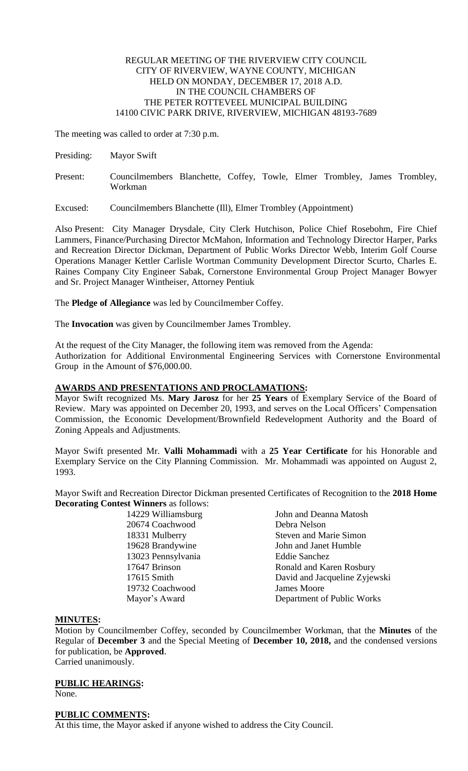### REGULAR MEETING OF THE RIVERVIEW CITY COUNCIL CITY OF RIVERVIEW, WAYNE COUNTY, MICHIGAN HELD ON MONDAY, DECEMBER 17, 2018 A.D. IN THE COUNCIL CHAMBERS OF THE PETER ROTTEVEEL MUNICIPAL BUILDING 14100 CIVIC PARK DRIVE, RIVERVIEW, MICHIGAN 48193-7689

The meeting was called to order at 7:30 p.m.

- Presiding: Mayor Swift
- Present: Councilmembers Blanchette, Coffey, Towle, Elmer Trombley, James Trombley, Workman
- Excused: Councilmembers Blanchette (Ill), Elmer Trombley (Appointment)

Also Present: City Manager Drysdale, City Clerk Hutchison, Police Chief Rosebohm, Fire Chief Lammers, Finance/Purchasing Director McMahon, Information and Technology Director Harper, Parks and Recreation Director Dickman, Department of Public Works Director Webb, Interim Golf Course Operations Manager Kettler Carlisle Wortman Community Development Director Scurto, Charles E. Raines Company City Engineer Sabak, Cornerstone Environmental Group Project Manager Bowyer and Sr. Project Manager Wintheiser, Attorney Pentiuk

The **Pledge of Allegiance** was led by Councilmember Coffey.

The **Invocation** was given by Councilmember James Trombley.

At the request of the City Manager, the following item was removed from the Agenda: Authorization for Additional Environmental Engineering Services with Cornerstone Environmental Group in the Amount of \$76,000.00.

## **AWARDS AND PRESENTATIONS AND PROCLAMATIONS:**

Mayor Swift recognized Ms. **Mary Jarosz** for her **25 Years** of Exemplary Service of the Board of Review. Mary was appointed on December 20, 1993, and serves on the Local Officers' Compensation Commission, the Economic Development/Brownfield Redevelopment Authority and the Board of Zoning Appeals and Adjustments.

Mayor Swift presented Mr. **Valli Mohammadi** with a **25 Year Certificate** for his Honorable and Exemplary Service on the City Planning Commission. Mr. Mohammadi was appointed on August 2, 1993.

Mayor Swift and Recreation Director Dickman presented Certificates of Recognition to the **2018 Home Decorating Contest Winners** as follows:

| 14229 Williamsburg | John and Deanna Matosh        |
|--------------------|-------------------------------|
| 20674 Coachwood    | Debra Nelson                  |
| 18331 Mulberry     | <b>Steven and Marie Simon</b> |
| 19628 Brandywine   | John and Janet Humble         |
| 13023 Pennsylvania | <b>Eddie Sanchez</b>          |
| 17647 Brinson      | Ronald and Karen Rosbury      |
| 17615 Smith        | David and Jacqueline Zyjewski |
| 19732 Coachwood    | <b>James Moore</b>            |
| Mayor's Award      | Department of Public Works    |
|                    |                               |

## **MINUTES:**

Motion by Councilmember Coffey, seconded by Councilmember Workman, that the **Minutes** of the Regular of **December 3** and the Special Meeting of **December 10, 2018,** and the condensed versions for publication, be **Approved**. Carried unanimously.

# **PUBLIC HEARINGS:**

None.

## **PUBLIC COMMENTS:**

At this time, the Mayor asked if anyone wished to address the City Council.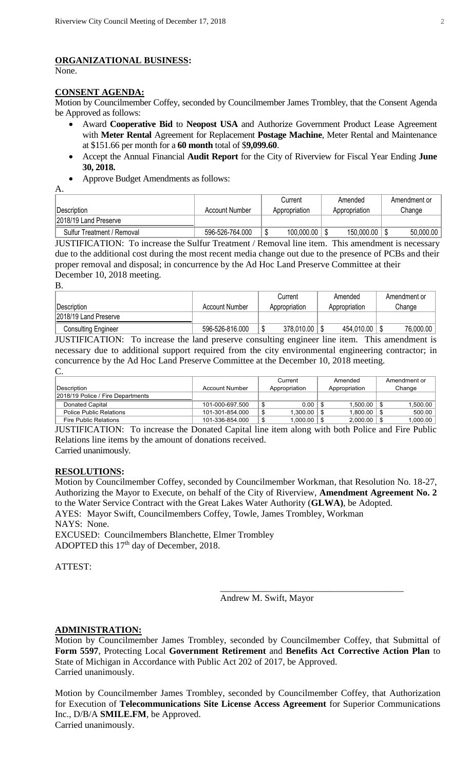## **ORGANIZATIONAL BUSINESS:**

None.

### **CONSENT AGENDA:**

Motion by Councilmember Coffey, seconded by Councilmember James Trombley, that the Consent Agenda be Approved as follows:

- Award **Cooperative Bid** to **Neopost USA** and Authorize Government Product Lease Agreement with **Meter Rental** Agreement for Replacement **Postage Machine**, Meter Rental and Maintenance at \$151.66 per month for a **60 month** total of \$**9,099.60**.
- Accept the Annual Financial **Audit Report** for the City of Riverview for Fiscal Year Ending **June 30, 2018.**
- Approve Budget Amendments as follows:

A.

|                            |                 | Current<br>Amended |            | Amendment or  |           |
|----------------------------|-----------------|--------------------|------------|---------------|-----------|
| <b>IDescription</b>        | Account Number  | Appropriation      |            | Appropriation | Change    |
| 2018/19 Land Preserve      |                 |                    |            |               |           |
| Sulfur Treatment / Removal | 596-526-764.000 |                    | 100,000.00 | 150,000.00    | 50,000.00 |

JUSTIFICATION: To increase the Sulfur Treatment / Removal line item. This amendment is necessary due to the additional cost during the most recent media change out due to the presence of PCBs and their proper removal and disposal; in concurrence by the Ad Hoc Land Preserve Committee at their December 10, 2018 meeting.

B.

| Description                | Account Number  | Current<br>Appropriation | Amended<br>Appropriation | Amendment or<br>Change |  |
|----------------------------|-----------------|--------------------------|--------------------------|------------------------|--|
| 2018/19 Land Preserve      |                 |                          |                          |                        |  |
| <b>Consulting Engineer</b> | 596-526-816.000 | 378,010.00               | 454,010.00               | 76,000.00              |  |

JUSTIFICATION: To increase the land preserve consulting engineer line item. This amendment is necessary due to additional support required from the city environmental engineering contractor; in concurrence by the Ad Hoc Land Preserve Committee at the December 10, 2018 meeting. C.

|                                   |                 | Current       | Amended       | Amendment or |  |
|-----------------------------------|-----------------|---------------|---------------|--------------|--|
| ∣Description_                     | Account Number  | Appropriation | Appropriation | Change       |  |
| 2018/19 Police / Fire Departments |                 |               |               |              |  |
| Donated Capital                   | 101-000-697.500 | 0.00          | 1.500.00      | 1.500.00     |  |
| <b>Police Public Relations</b>    | 101-301-854.000 | 1,300.00      | 1.800.00      | 500.00       |  |
| <b>Fire Public Relations</b>      | 101-336-854.000 | 1.000.00      | 2.000.00      | $0.000$ .    |  |

JUSTIFICATION: To increase the Donated Capital line item along with both Police and Fire Public Relations line items by the amount of donations received.

Carried unanimously.

## **RESOLUTIONS:**

Motion by Councilmember Coffey, seconded by Councilmember Workman, that Resolution No. 18-27, Authorizing the Mayor to Execute, on behalf of the City of Riverview, **Amendment Agreement No. 2** to the Water Service Contract with the Great Lakes Water Authority (**GLWA)**, be Adopted. AYES: Mayor Swift, Councilmembers Coffey, Towle, James Trombley, Workman NAYS: None. EXCUSED: Councilmembers Blanchette, Elmer Trombley

ADOPTED this 17<sup>th</sup> day of December, 2018.

ATTEST:

Andrew M. Swift, Mayor

\_\_\_\_\_\_\_\_\_\_\_\_\_\_\_\_\_\_\_\_\_\_\_\_\_\_\_\_\_\_\_\_\_\_\_\_\_\_\_\_

## **ADMINISTRATION:**

Motion by Councilmember James Trombley, seconded by Councilmember Coffey, that Submittal of **Form 5597**, Protecting Local **Government Retirement** and **Benefits Act Corrective Action Plan** to State of Michigan in Accordance with Public Act 202 of 2017, be Approved. Carried unanimously.

Motion by Councilmember James Trombley, seconded by Councilmember Coffey, that Authorization for Execution of **Telecommunications Site License Access Agreement** for Superior Communications Inc., D/B/A **SMILE.FM**, be Approved. Carried unanimously.